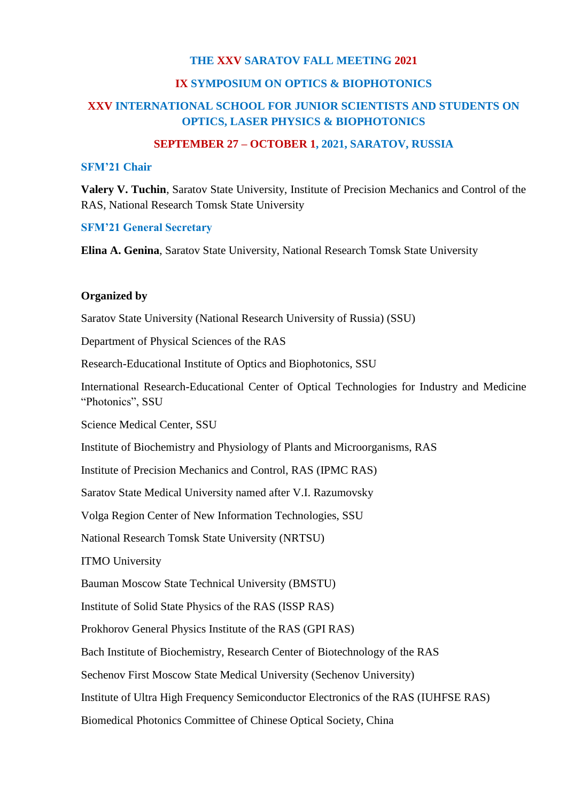## **THE XXV SARATOV FALL MEETING 2021**

### **IX SYMPOSIUM ON OPTICS & BIOPHOTONICS**

# **XXV INTERNATIONAL SCHOOL FOR JUNIOR SCIENTISTS AND STUDENTS ON OPTICS, LASER PHYSICS & BIOPHOTONICS**

## **SEPTEMBER 27 – OCTOBER 1, 2021, SARATOV, RUSSIA**

#### **SFM'21 Chair**

**Valery V. Tuchin**, Saratov State University, Institute of Precision Mechanics and Control of the RAS, National Research Tomsk State University

### **SFM'21 General Secretary**

**Elina A. Genina**, Saratov State University, National Research Tomsk State University

### **Organized by**

Saratov State University (National Research University of Russia) (SSU)

Department of Physical Sciences of the RAS

Research-Educational Institute of Optics and Biophotonics, SSU

International Research-Educational Center of Optical Technologies for Industry and Medicine "Photonics", SSU

Science Medical Center, SSU

Institute of Biochemistry and Physiology of Plants and Microorganisms, RAS

Institute of Precision Mechanics and Control, RAS (IPMC RAS)

Saratov State Medical University named after V.I. Razumovsky

Volga Region Center of New Information Technologies, SSU

National Research Tomsk State University (NRTSU)

ITMO University

Bauman Moscow State Technical University (BMSTU)

Institute of Solid State Physics of the RAS (ISSP RAS)

Prokhorov General Physics Institute of the RAS (GPI RAS)

Bach Institute of Biochemistry, Research Center of Biotechnology of the RAS

Sechenov First Moscow State Medical University (Sechenov University)

Institute of Ultra High Frequency Semiconductor Electronics of the RAS (IUHFSE RAS)

Biomedical Photonics Committee of Chinese Optical Society, China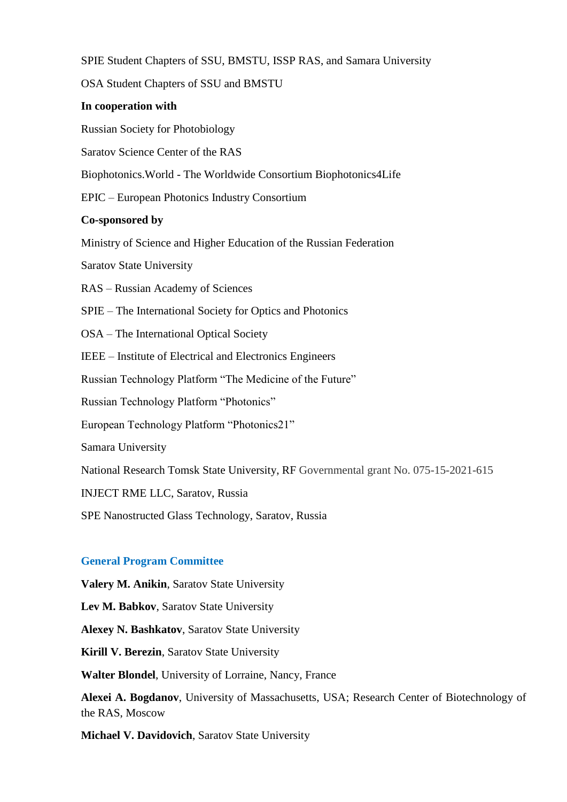SPIE Student Chapters of SSU, BMSTU, ISSP RAS, and Samara University

OSA Student Chapters of SSU and BMSTU

### **In cooperation with**

Russian Society for Photobiology

Saratov Science Center of the RAS

Biophotonics.World - The Worldwide Consortium Biophotonics4Life

EPIC – European Photonics Industry Consortium

### **Co-sponsored by**

Ministry of Science and Higher Education of the Russian Federation

Saratov State University

RAS – Russian Academy of Sciences

SPIE – The International Society for Optics and Photonics

OSA – The International Optical Society

IEEE – Institute of Electrical and Electronics Engineers

Russian Technology Platform "The Medicine of the Future"

Russian Technology Platform "Photonics"

European Technology Platform "Photonics21"

Samara University

National Research Tomsk State University, RF Governmental grant No. 075-15-2021-615

INJECT RME LLC, Saratov, Russia

SPE Nanostructed Glass Technology, Saratov, Russia

### **General Program Committee**

**Valery M. Anikin**, Saratov State University

**Lev M. Babkov**, Saratov State University

**Alexey N. Bashkatov**, Saratov State University

**Kirill V. Berezin**, Saratov State University

**Walter Blondel**, University of Lorraine, Nancy, France

**Alexei A. Bogdanov**, University of Massachusetts, USA; Research Center of Biotechnology of the RAS, Moscow

**Michael V. Davidovich**, Saratov State University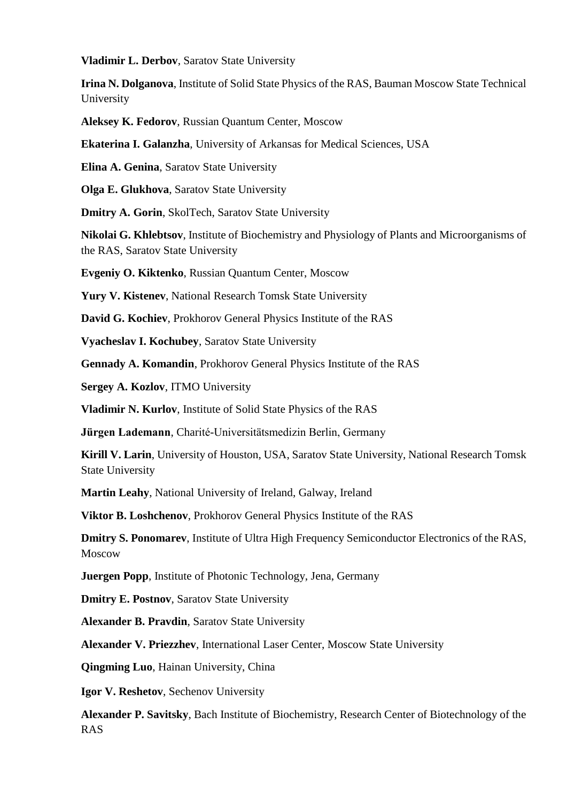**Vladimir L. Derbov**, Saratov State University

**Irina N. Dolganova**, Institute of Solid State Physics of the RAS, Bauman Moscow State Technical University

**Aleksey K. Fedorov**, Russian Quantum Center, Moscow

**Ekaterina I. Galanzha**, University of Arkansas for Medical Sciences, USA

**Elina A. Genina**, Saratov State University

**Olga E. Glukhova**, Saratov State University

**Dmitry A. Gorin**, SkolTech, Saratov State University

**Nikolai G. Khlebtsov**, Institute of Biochemistry and Physiology of Plants and Microorganisms of the RAS, Saratov State University

**Evgeniy O. Kiktenko**, Russian Quantum Center, Moscow

**Yury V. Kistenev**, National Research Tomsk State University

**David G. Kochiev**, Prokhorov General Physics Institute of the RAS

**Vyacheslav I. Kochubey**, Saratov State University

**Gennady A. Komandin**, Prokhorov General Physics Institute of the RAS

**Sergey A. Kozlov**, ITMO University

**Vladimir N. Kurlov**, Institute of Solid State Physics of the RAS

**Jürgen Lademann**, Charité-Universitätsmedizin Berlin, Germany

**Kirill V. Larin**, University of Houston, USA, Saratov State University, National Research Tomsk State University

**Martin Leahy**, National University of Ireland, Galway, Ireland

**Viktor B. Loshchenov**, Prokhorov General Physics Institute of the RAS

**Dmitry S. Ponomarev**, Institute of Ultra High Frequency Semiconductor Electronics of the RAS, Moscow

**Juergen Popp**, Institute of Photonic Technology, Jena, Germany

**Dmitry E. Postnov**, Saratov State University

**Alexander B. Pravdin**, Saratov State University

**Alexander V. Priezzhev**, International Laser Center, Moscow State University

**Qingming Luo**, Hainan University, China

**Igor V. Reshetov**, Sechenov University

**Alexander P. Savitsky**, Bach Institute of Biochemistry, Research Center of Biotechnology of the RAS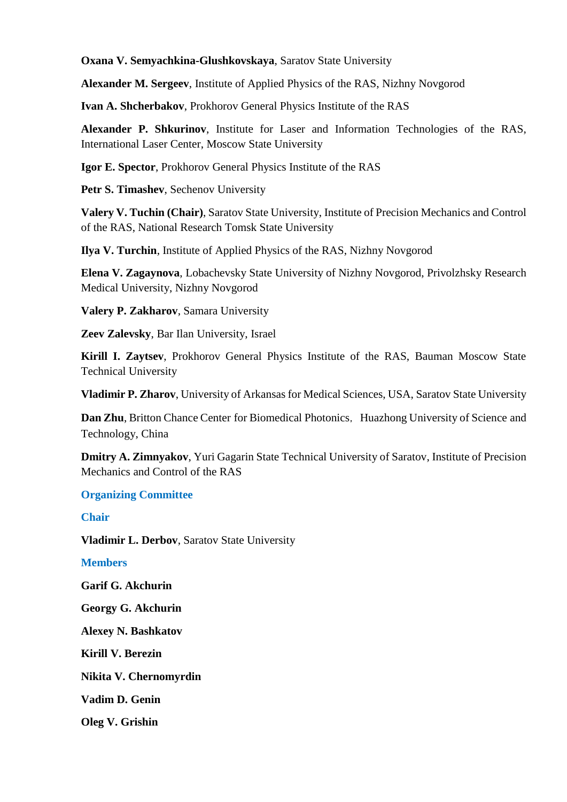## **Oxana V. Semyachkina-Glushkovskaya**, Saratov State University

**Alexander M. Sergeev**, Institute of Applied Physics of the RAS, Nizhny Novgorod

**Ivan A. Shcherbakov**, Prokhorov General Physics Institute of the RAS

**Alexander P. Shkurinov**, Institute for Laser and Information Technologies of the RAS, International Laser Center, Moscow State University

**Igor E. Spector**, Prokhorov General Physics Institute of the RAS

**Petr S. Timashev**, Sechenov University

**Valery V. Tuchin (Chair)**, Saratov State University, Institute of Precision Mechanics and Control of the RAS, National Research Tomsk State University

**Ilya V. Turchin**, Institute of Applied Physics of the RAS, Nizhny Novgorod

**Elena V. Zagaynova**, Lobachevsky State University of Nizhny Novgorod, Privolzhsky Research Medical University, Nizhny Novgorod

**Valery P. Zakharov**, Samara University

**Zeev Zalevsky**, Bar Ilan University, Israel

**Kirill I. Zaytsev**, Prokhorov General Physics Institute of the RAS, Bauman Moscow State Technical University

**Vladimir P. Zharov**, University of Arkansas for Medical Sciences, USA, Saratov State University

**Dan Zhu**, Britton Chance Center for Biomedical Photonics, Huazhong University of Science and Technology, China

**Dmitry A. Zimnyakov**, Yuri Gagarin State Technical University of Saratov, Institute of Precision Mechanics and Control of the RAS

## **Organizing Committee**

## **Chair**

**Vladimir L. Derbov**, Saratov State University

## **Members**

**Garif G. Akchurin**

**Georgy G. Akchurin** 

**Alexey N. Bashkatov** 

**Kirill V. Berezin** 

**Nikita V. Chernomyrdin** 

**Vadim D. Genin** 

**Oleg V. Grishin**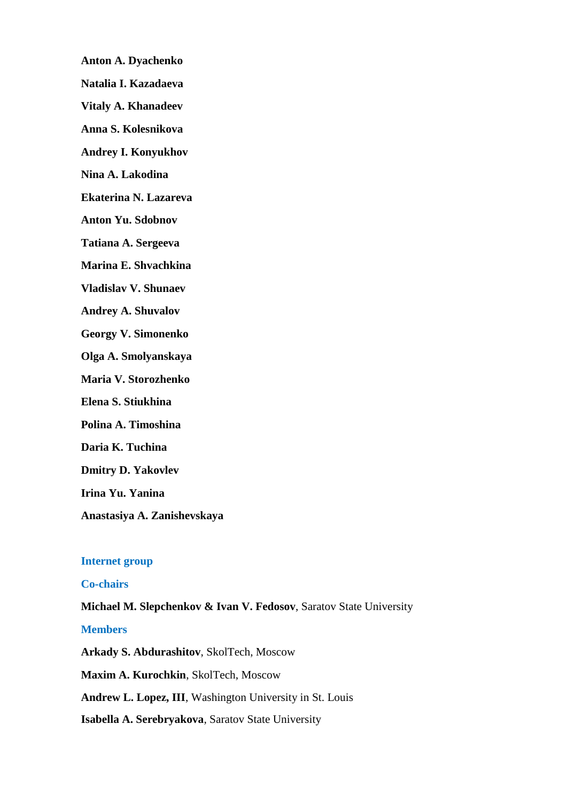- **Anton A. Dyachenko**
- **Natalia I. Kazadaeva**
- **Vitaly A. Khanadeev**
- **Anna S. Kolesnikova**
- **Andrey I. Konyukhov**
- **Nina A. Lakodina**
- **Ekaterina N. Lazareva**
- **Anton Yu. Sdobnov**
- **Tatiana A. Sergeeva**
- **Marina E. Shvachkina**
- **Vladislav V. Shunaev**
- **Andrey A. Shuvalov**
- **Georgy V. Simonenko**
- **Olga A. Smolyanskaya**
- **Maria V. Storozhenko**
- **Elena S. Stiukhina**
- **Polina A. Timoshina**
- **Daria K. Tuchina**
- **Dmitry D. Yakovlev**
- **Irina Yu. Yanina**
- **Anastasiya A. Zanishevskaya**

### **Internet group**

### **Co-chairs**

**Michael M. Slepchenkov & Ivan V. Fedosov**, Saratov State University

### **Members**

**Arkady S. Abdurashitov**, SkolTech, Moscow

**Maxim A. Kurochkin**, SkolTech, Moscow

**Andrew L. Lopez, III**, Washington University in St. Louis

**Isabella A. Serebryakova**, Saratov State University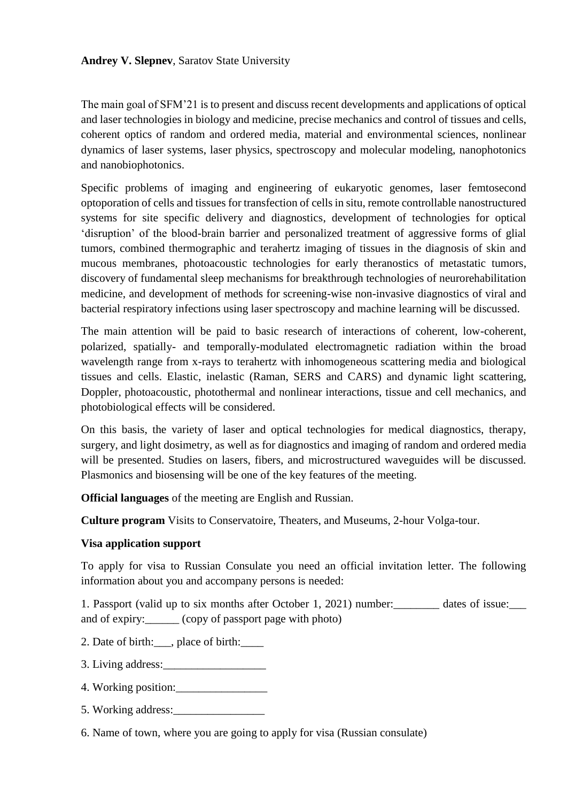## **Andrey V. Slepnev**, Saratov State University

The main goal of SFM'21 is to present and discuss recent developments and applications of optical and laser technologies in biology and medicine, precise mechanics and control of tissues and cells, coherent optics of random and ordered media, material and environmental sciences, nonlinear dynamics of laser systems, laser physics, spectroscopy and molecular modeling, nanophotonics and nanobiophotonics.

Specific problems of imaging and engineering of eukaryotic genomes, laser femtosecond optoporation of cells and tissues for transfection of cells in situ, remote controllable nanostructured systems for site specific delivery and diagnostics, development of technologies for optical 'disruption' of the blood-brain barrier and personalized treatment of aggressive forms of glial tumors, combined thermographic and terahertz imaging of tissues in the diagnosis of skin and mucous membranes, photoacoustic technologies for early theranostics of metastatic tumors, discovery of fundamental sleep mechanisms for breakthrough technologies of neurorehabilitation medicine, and development of methods for screening-wise non-invasive diagnostics of viral and bacterial respiratory infections using laser spectroscopy and machine learning will be discussed.

The main attention will be paid to basic research of interactions of coherent, low-coherent, polarized, spatially- and temporally-modulated electromagnetic radiation within the broad wavelength range from x-rays to terahertz with inhomogeneous scattering media and biological tissues and cells. Elastic, inelastic (Raman, SERS and CARS) and dynamic light scattering, Doppler, photoacoustic, photothermal and nonlinear interactions, tissue and cell mechanics, and photobiological effects will be considered.

On this basis, the variety of laser and optical technologies for medical diagnostics, therapy, surgery, and light dosimetry, as well as for diagnostics and imaging of random and ordered media will be presented. Studies on lasers, fibers, and microstructured waveguides will be discussed. Plasmonics and biosensing will be one of the key features of the meeting.

**Official languages** of the meeting are English and Russian.

**Culture program** Visits to Conservatoire, Theaters, and Museums, 2-hour Volga-tour.

# **Visa application support**

To apply for visa to Russian Consulate you need an official invitation letter. The following information about you and accompany persons is needed:

1. Passport (valid up to six months after October 1, 2021) number: dates of issue: and of expiry:\_\_\_\_\_\_ (copy of passport page with photo)

2. Date of birth:\_\_\_, place of birth:\_\_\_\_

3. Living address:\_\_\_\_\_\_\_\_\_\_\_\_\_\_\_\_\_\_

- 4. Working position:\_\_\_\_\_\_\_\_\_\_\_\_\_\_\_\_
- 5. Working address:

6. Name of town, where you are going to apply for visa (Russian consulate)